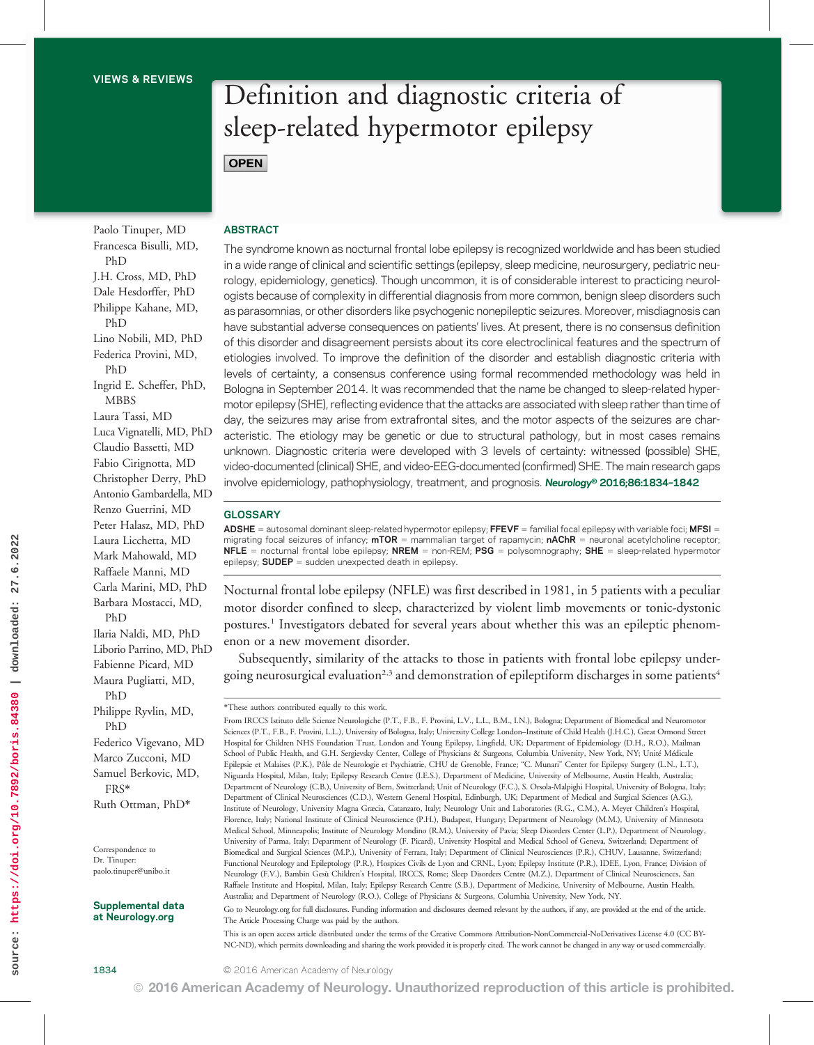# Definition and diagnostic criteria of sleep-related hypermotor epilepsy **OPEN**

ABSTRACT

The syndrome known as nocturnal frontal lobe epilepsy is recognized worldwide and has been studied in a wide range of clinical and scientific settings (epilepsy, sleep medicine, neurosurgery, pediatric neurology, epidemiology, genetics). Though uncommon, it is of considerable interest to practicing neurologists because of complexity in differential diagnosis from more common, benign sleep disorders such as parasomnias, or other disorders like psychogenic nonepileptic seizures. Moreover, misdiagnosis can have substantial adverse consequences on patients' lives. At present, there is no consensus definition of this disorder and disagreement persists about its core electroclinical features and the spectrum of etiologies involved. To improve the definition of the disorder and establish diagnostic criteria with levels of certainty, a consensus conference using formal recommended methodology was held in Bologna in September 2014. It was recommended that the name be changed to sleep-related hypermotor epilepsy (SHE), reflecting evidence that the attacks are associated with sleep rather than time of day, the seizures may arise from extrafrontal sites, and the motor aspects of the seizures are characteristic. The etiology may be genetic or due to structural pathology, but in most cases remains unknown. Diagnostic criteria were developed with 3 levels of certainty: witnessed (possible) SHE, video-documented (clinical) SHE, and video-EEG-documented (confirmed) SHE. The main research gaps involve epidemiology, pathophysiology, treatment, and prognosis. Neurology® 2016;86:1834-1842

#### **GLOSSARY**

ADSHE = autosomal dominant sleep-related hypermotor epilepsy; FFEVF = familial focal epilepsy with variable foci; MFSI = migrating focal seizures of infancy;  $mTOR =$  mammalian target of rapamycin;  $nACHR =$  neuronal acetylcholine receptor;  $NFLE$  = nocturnal frontal lobe epilepsy; NREM = non-REM; PSG = polysomnography; SHE = sleep-related hypermotor epilepsy;  $\textsf{SUBEP} = \textsf{s}$ udden unexpected death in epilepsy.

Nocturnal frontal lobe epilepsy (NFLE) was first described in 1981, in 5 patients with a peculiar motor disorder confined to sleep, characterized by violent limb movements or tonic-dystonic postures.1 Investigators debated for several years about whether this was an epileptic phenomenon or a new movement disorder.

Subsequently, similarity of the attacks to those in patients with frontal lobe epilepsy undergoing neurosurgical evaluation<sup>2,3</sup> and demonstration of epileptiform discharges in some patients<sup>4</sup>

Go to [Neurology.org](http://neurology.org/lookup/doi/10.1212/WNL.0000000000002666) for full disclosures. Funding information and disclosures deemed relevant by the authors, if any, are provided at the end of the article. The Article Processing Charge was paid by the authors.

This is an open access article distributed under the terms of the [Creative Commons Attribution-NonCommercial-NoDerivatives License 4.0 \(CC BY-](http://creativecommons.org/licenses/by-nc-nd/4.0/)[NC-ND\)](http://creativecommons.org/licenses/by-nc-nd/4.0/), which permits downloading and sharing the work provided it is properly cited. The work cannot be changed in any way or used commercially.

1834 **C** 2016 American Academy of Neurology

© 2016 American Academy of Neurology. Unauthorized reproduction of this article is prohibited.

Paolo Tinuper, MD Francesca Bisulli, MD, PhD J.H. Cross, MD, PhD Dale Hesdorffer, PhD Philippe Kahane, MD, PhD Lino Nobili, MD, PhD Federica Provini, MD, PhD Ingrid E. Scheffer, PhD, MBBS Laura Tassi, MD Luca Vignatelli, MD, PhD Claudio Bassetti, MD Fabio Cirignotta, MD Christopher Derry, PhD Antonio Gambardella, MD Renzo Guerrini, MD Peter Halasz, MD, PhD Laura Licchetta, MD Mark Mahowald, MD Raffaele Manni, MD Carla Marini, MD, PhD Barbara Mostacci, MD, PhD Ilaria Naldi, MD, PhD Liborio Parrino, MD, PhD Fabienne Picard, MD Maura Pugliatti, MD, PhD Philippe Ryvlin, MD, PhD Federico Vigevano, MD Marco Zucconi, MD Samuel Berkovic, MD, FRS\* Ruth Ottman, PhD\*

Correspondence to Dr. Tinuper: [paolo.tinuper@unibo.it](mailto:paolo.tinuper@unibo.it)

Supplemental data at [Neurology.org](http://neurology.org/lookup/doi/10.1212/WNL.0000000000002666)

<sup>\*</sup>These authors contributed equally to this work.

From IRCCS Istituto delle Scienze Neurologiche (P.T., F.B., F. Provini, L.V., L.L., B.M., I.N.), Bologna; Department of Biomedical and Neuromotor Sciences (P.T., F.B., F. Provini, L.L.), University of Bologna, Italy; University College London–Institute of Child Health (J.H.C.), Great Ormond Street Hospital for Children NHS Foundation Trust, London and Young Epilepsy, Lingfield, UK; Department of Epidemiology (D.H., R.O.), Mailman School of Public Health, and G.H. Sergievsky Center, College of Physicians & Surgeons, Columbia University, New York, NY; Unité Médicale Epilepsie et Malaises (P.K.), Pôle de Neurologie et Psychiatrie, CHU de Grenoble, France; "C. Munari" Center for Epilepsy Surgery (L.N., L.T.), Niguarda Hospital, Milan, Italy; Epilepsy Research Centre (I.E.S.), Department of Medicine, University of Melbourne, Austin Health, Australia; Department of Neurology (C.B.), University of Bern, Switzerland; Unit of Neurology (F.C.), S. Orsola-Malpighi Hospital, University of Bologna, Italy; Department of Clinical Neurosciences (C.D.), Western General Hospital, Edinburgh, UK; Department of Medical and Surgical Sciences (A.G.), Institute of Neurology, University Magna Græcia, Catanzaro, Italy; Neurology Unit and Laboratories (R.G., C.M.), A. Meyer Children's Hospital, Florence, Italy; National Institute of Clinical Neuroscience (P.H.), Budapest, Hungary; Department of Neurology (M.M.), University of Minnesota Medical School, Minneapolis; Institute of Neurology Mondino (R.M.), University of Pavia; Sleep Disorders Center (L.P.), Department of Neurology, University of Parma, Italy; Department of Neurology (F. Picard), University Hospital and Medical School of Geneva, Switzerland; Department of Biomedical and Surgical Sciences (M.P.), University of Ferrara, Italy; Department of Clinical Neurosciences (P.R.), CHUV, Lausanne, Switzerland; Functional Neurology and Epileptology (P.R.), Hospices Civils de Lyon and CRNL, Lyon; Epilepsy Institute (P.R.), IDEE, Lyon, France; Division of Neurology (F.V.), Bambin Gesù Children's Hospital, IRCCS, Rome; Sleep Disorders Centre (M.Z.), Department of Clinical Neurosciences, San Raffaele Institute and Hospital, Milan, Italy; Epilepsy Research Centre (S.B.), Department of Medicine, University of Melbourne, Austin Health, Australia; and Department of Neurology (R.O.), College of Physicians & Surgeons, Columbia University, New York, NY.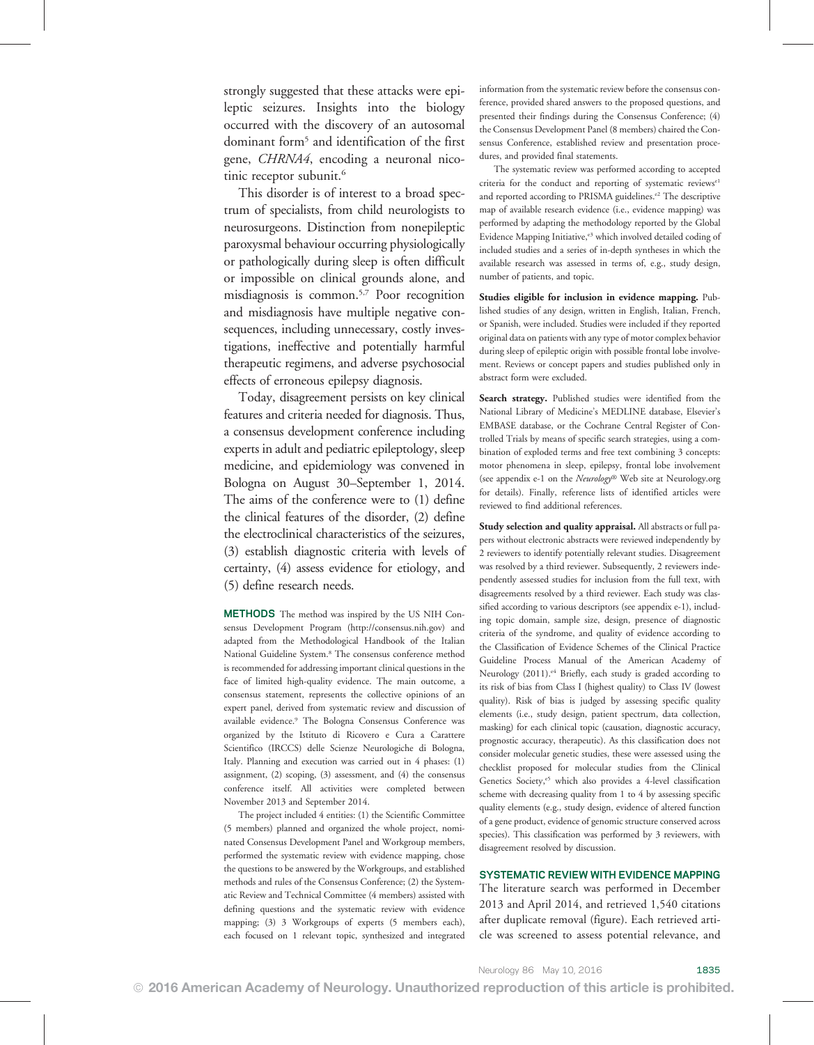strongly suggested that these attacks were epileptic seizures. Insights into the biology occurred with the discovery of an autosomal dominant form<sup>5</sup> and identification of the first gene, CHRNA4, encoding a neuronal nicotinic receptor subunit.<sup>6</sup>

This disorder is of interest to a broad spectrum of specialists, from child neurologists to neurosurgeons. Distinction from nonepileptic paroxysmal behaviour occurring physiologically or pathologically during sleep is often difficult or impossible on clinical grounds alone, and misdiagnosis is common.<sup>5,7</sup> Poor recognition and misdiagnosis have multiple negative consequences, including unnecessary, costly investigations, ineffective and potentially harmful therapeutic regimens, and adverse psychosocial effects of erroneous epilepsy diagnosis.

Today, disagreement persists on key clinical features and criteria needed for diagnosis. Thus, a consensus development conference including experts in adult and pediatric epileptology, sleep medicine, and epidemiology was convened in Bologna on August 30–September 1, 2014. The aims of the conference were to (1) define the clinical features of the disorder, (2) define the electroclinical characteristics of the seizures, (3) establish diagnostic criteria with levels of certainty, (4) assess evidence for etiology, and (5) define research needs.

METHODS The method was inspired by the US NIH Consensus Development Program ([http://consensus.nih.gov\)](http://consensus.nih.gov) and adapted from the Methodological Handbook of the Italian National Guideline System.8 The consensus conference method is recommended for addressing important clinical questions in the face of limited high-quality evidence. The main outcome, a consensus statement, represents the collective opinions of an expert panel, derived from systematic review and discussion of available evidence.9 The Bologna Consensus Conference was organized by the Istituto di Ricovero e Cura a Carattere Scientifico (IRCCS) delle Scienze Neurologiche di Bologna, Italy. Planning and execution was carried out in 4 phases: (1) assignment, (2) scoping, (3) assessment, and (4) the consensus conference itself. All activities were completed between November 2013 and September 2014.

The project included 4 entities: (1) the Scientific Committee (5 members) planned and organized the whole project, nominated Consensus Development Panel and Workgroup members, performed the systematic review with evidence mapping, chose the questions to be answered by the Workgroups, and established methods and rules of the Consensus Conference; (2) the Systematic Review and Technical Committee (4 members) assisted with defining questions and the systematic review with evidence mapping; (3) 3 Workgroups of experts (5 members each), each focused on 1 relevant topic, synthesized and integrated information from the systematic review before the consensus conference, provided shared answers to the proposed questions, and presented their findings during the Consensus Conference; (4) the Consensus Development Panel (8 members) chaired the Consensus Conference, established review and presentation procedures, and provided final statements.

The systematic review was performed according to accepted criteria for the conduct and reporting of systematic reviews<sup>e1</sup> and reported according to PRISMA guidelines.<sup>e2</sup> The descriptive map of available research evidence (i.e., evidence mapping) was performed by adapting the methodology reported by the Global Evidence Mapping Initiative,<sup>e3</sup> which involved detailed coding of included studies and a series of in-depth syntheses in which the available research was assessed in terms of, e.g., study design, number of patients, and topic.

Studies eligible for inclusion in evidence mapping. Published studies of any design, written in English, Italian, French, or Spanish, were included. Studies were included if they reported original data on patients with any type of motor complex behavior during sleep of epileptic origin with possible frontal lobe involvement. Reviews or concept papers and studies published only in abstract form were excluded.

Search strategy. Published studies were identified from the National Library of Medicine's MEDLINE database, Elsevier's EMBASE database, or the Cochrane Central Register of Controlled Trials by means of specific search strategies, using a combination of exploded terms and free text combining 3 concepts: motor phenomena in sleep, epilepsy, frontal lobe involvement (see appendix e-1 on the Neurology® Web site at [Neurology.org](http://neurology.org/lookup/doi/10.1212/WNL.0000000000002666) for details). Finally, reference lists of identified articles were reviewed to find additional references.

Study selection and quality appraisal. All abstracts or full papers without electronic abstracts were reviewed independently by 2 reviewers to identify potentially relevant studies. Disagreement was resolved by a third reviewer. Subsequently, 2 reviewers independently assessed studies for inclusion from the full text, with disagreements resolved by a third reviewer. Each study was classified according to various descriptors (see appendix e-1), including topic domain, sample size, design, presence of diagnostic criteria of the syndrome, and quality of evidence according to the Classification of Evidence Schemes of the Clinical Practice Guideline Process Manual of the American Academy of Neurology (2011).<sup>e4</sup> Briefly, each study is graded according to its risk of bias from Class I (highest quality) to Class IV (lowest quality). Risk of bias is judged by assessing specific quality elements (i.e., study design, patient spectrum, data collection, masking) for each clinical topic (causation, diagnostic accuracy, prognostic accuracy, therapeutic). As this classification does not consider molecular genetic studies, these were assessed using the checklist proposed for molecular studies from the Clinical Genetics Society,<sup>e5</sup> which also provides a 4-level classification scheme with decreasing quality from 1 to 4 by assessing specific quality elements (e.g., study design, evidence of altered function of a gene product, evidence of genomic structure conserved across species). This classification was performed by 3 reviewers, with disagreement resolved by discussion.

#### SYSTEMATIC REVIEW WITH EVIDENCE MAPPING

The literature search was performed in December 2013 and April 2014, and retrieved 1,540 citations after duplicate removal (figure). Each retrieved article was screened to assess potential relevance, and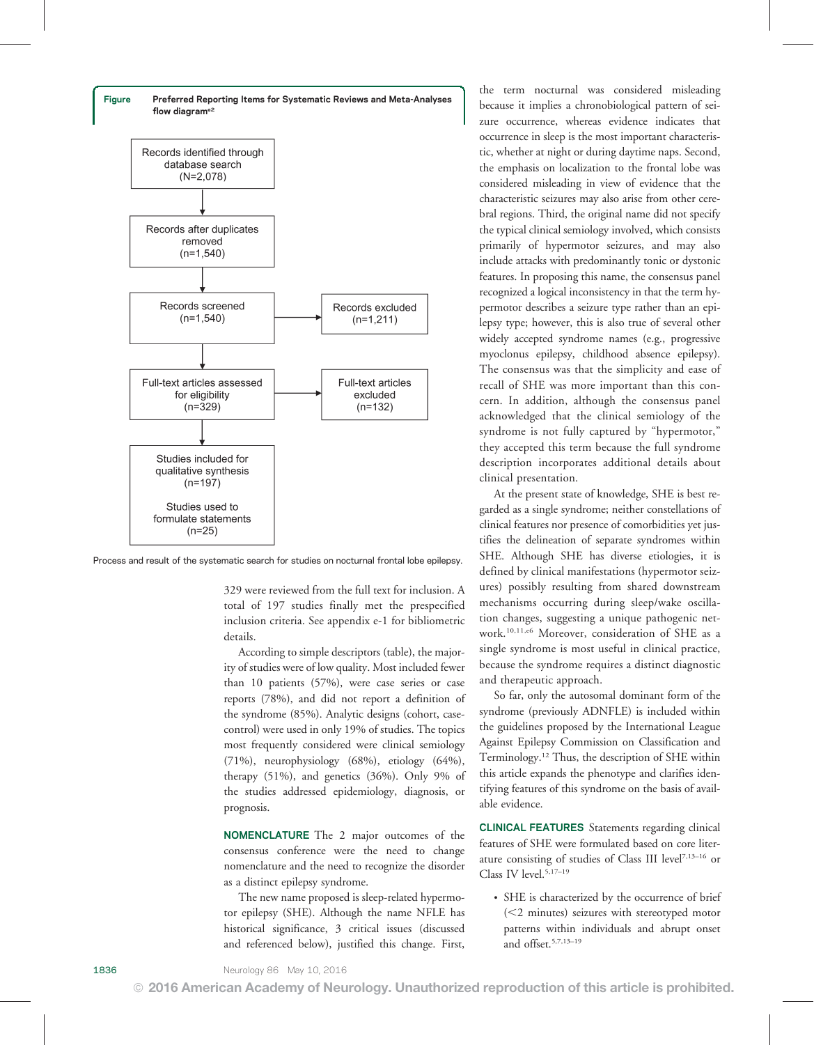Figure Preferred Reporting Items for Systematic Reviews and Meta-Analyses flow diagram<sup>e2</sup> Records identified through database search  $(N=2,078)$ Records after duplicates removed  $(n=1,540)$ Records screened Records excluded  $(n=1,540)$  $(n=1,211)$ Full-text articles assessed Full-text articles for eligibility excluded  $(n=329)$  $(n=132)$ Studies included for qualitative synthesis  $(n=197)$ Studies used to formulate statements  $(n=25)$ 

Process and result of the systematic search for studies on nocturnal frontal lobe epilepsy.

329 were reviewed from the full text for inclusion. A total of 197 studies finally met the prespecified inclusion criteria. See appendix e-1 for bibliometric details.

According to simple descriptors (table), the majority of studies were of low quality. Most included fewer than 10 patients (57%), were case series or case reports (78%), and did not report a definition of the syndrome (85%). Analytic designs (cohort, casecontrol) were used in only 19% of studies. The topics most frequently considered were clinical semiology (71%), neurophysiology (68%), etiology (64%), therapy (51%), and genetics (36%). Only 9% of the studies addressed epidemiology, diagnosis, or prognosis.

NOMENCLATURE The 2 major outcomes of the consensus conference were the need to change nomenclature and the need to recognize the disorder as a distinct epilepsy syndrome.

The new name proposed is sleep-related hypermotor epilepsy (SHE). Although the name NFLE has historical significance, 3 critical issues (discussed and referenced below), justified this change. First,

the term nocturnal was considered misleading because it implies a chronobiological pattern of seizure occurrence, whereas evidence indicates that occurrence in sleep is the most important characteristic, whether at night or during daytime naps. Second, the emphasis on localization to the frontal lobe was considered misleading in view of evidence that the characteristic seizures may also arise from other cerebral regions. Third, the original name did not specify the typical clinical semiology involved, which consists primarily of hypermotor seizures, and may also include attacks with predominantly tonic or dystonic features. In proposing this name, the consensus panel recognized a logical inconsistency in that the term hypermotor describes a seizure type rather than an epilepsy type; however, this is also true of several other widely accepted syndrome names (e.g., progressive myoclonus epilepsy, childhood absence epilepsy). The consensus was that the simplicity and ease of recall of SHE was more important than this concern. In addition, although the consensus panel acknowledged that the clinical semiology of the syndrome is not fully captured by "hypermotor," they accepted this term because the full syndrome description incorporates additional details about clinical presentation.

At the present state of knowledge, SHE is best regarded as a single syndrome; neither constellations of clinical features nor presence of comorbidities yet justifies the delineation of separate syndromes within SHE. Although SHE has diverse etiologies, it is defined by clinical manifestations (hypermotor seizures) possibly resulting from shared downstream mechanisms occurring during sleep/wake oscillation changes, suggesting a unique pathogenic network.10,11,e6 Moreover, consideration of SHE as a single syndrome is most useful in clinical practice, because the syndrome requires a distinct diagnostic and therapeutic approach.

So far, only the autosomal dominant form of the syndrome (previously ADNFLE) is included within the guidelines proposed by the International League Against Epilepsy Commission on Classification and Terminology.12 Thus, the description of SHE within this article expands the phenotype and clarifies identifying features of this syndrome on the basis of available evidence.

CLINICAL FEATURES Statements regarding clinical features of SHE were formulated based on core literature consisting of studies of Class III level7,13–<sup>16</sup> or Class IV level.<sup>5,17-19</sup>

• SHE is characterized by the occurrence of brief  $(<$ 2 minutes) seizures with stereotyped motor patterns within individuals and abrupt onset and offset.5,7,13–<sup>19</sup>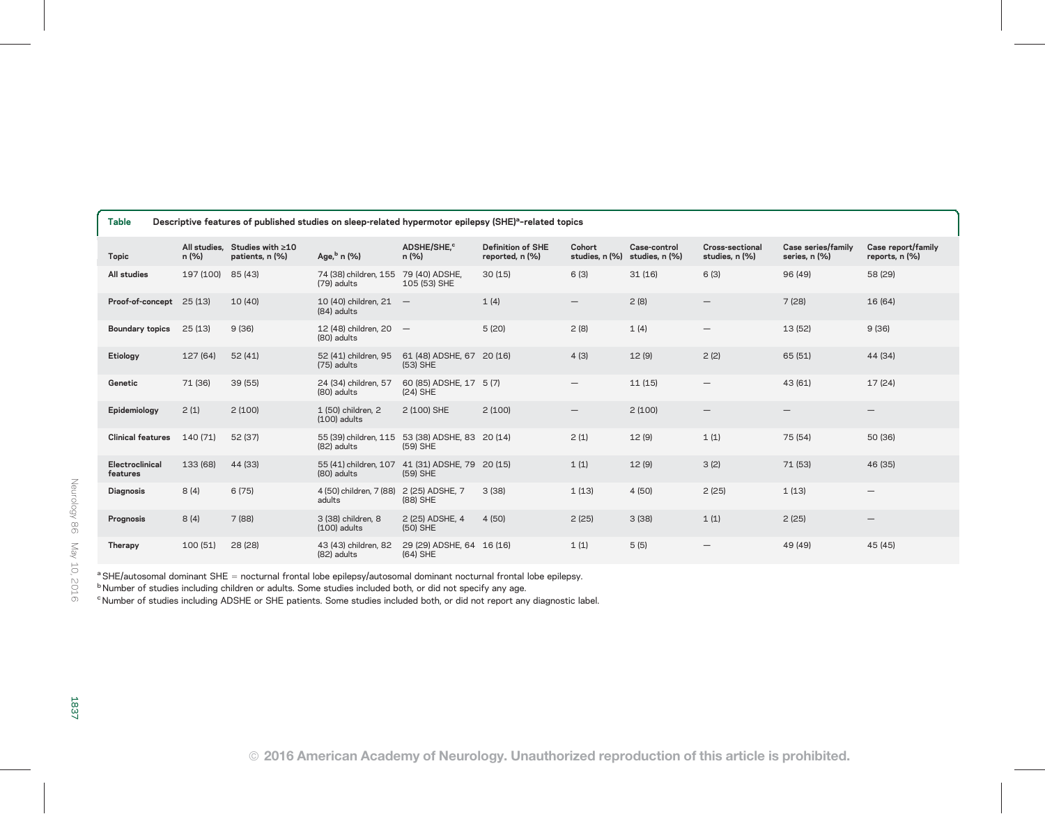| Table<br>Descriptive features of published studies on sleep-related hypermotor epilepsy (SHE) <sup>a</sup> -related topics |                       |                                     |                                       |                                       |                                             |                          |                                |                                   |                                     |                                      |
|----------------------------------------------------------------------------------------------------------------------------|-----------------------|-------------------------------------|---------------------------------------|---------------------------------------|---------------------------------------------|--------------------------|--------------------------------|-----------------------------------|-------------------------------------|--------------------------------------|
| <b>Topic</b>                                                                                                               | All studies.<br>n (%) | Studies with ≥10<br>patients, n (%) | Age, <sup>b</sup> n (%)               | ADSHE/SHE. <sup>c</sup><br>n (%)      | <b>Definition of SHE</b><br>reported, n (%) | Cohort<br>studies, n (%) | Case-control<br>studies, n (%) | Cross-sectional<br>studies, n (%) | Case series/family<br>series, n (%) | Case report/family<br>reports, n (%) |
| All studies                                                                                                                | 197 (100)             | 85 (43)                             | 74 (38) children, 155<br>(79) adults  | 79 (40) ADSHE.<br>105 (53) SHE        | 30(15)                                      | 6 (3)                    | 31(16)                         | 6(3)                              | 96 (49)                             | 58 (29)                              |
| Proof-of-concept                                                                                                           | 25(13)                | 10(40)                              | 10 (40) children, 21<br>(84) adults   | $\hspace{0.1mm}-\hspace{0.1mm}$       | 1(4)                                        | $\overline{\phantom{0}}$ | 2(8)                           | $\overline{\phantom{0}}$          | 7(28)                               | 16 (64)                              |
| <b>Boundary topics</b>                                                                                                     | 25(13)                | 9(36)                               | 12 (48) children, 20 -<br>(80) adults |                                       | 5(20)                                       | 2(8)                     | 1(4)                           | $\qquad \qquad$                   | 13 (52)                             | 9(36)                                |
| Etiology                                                                                                                   | 127 (64)              | 52(41)                              | 52 (41) children, 95<br>(75) adults   | 61 (48) ADSHE, 67 20 (16)<br>(53) SHE |                                             | 4(3)                     | 12(9)                          | 2(2)                              | 65 (51)                             | 44 (34)                              |
| Genetic                                                                                                                    | 71 (36)               | 39(55)                              | 24 (34) children, 57<br>(80) adults   | 60 (85) ADSHE, 17 5 (7)<br>$(24)$ SHE |                                             |                          | 11(15)                         | $\overline{\phantom{0}}$          | 43 (61)                             | 17(24)                               |
| Epidemiology                                                                                                               | 2(1)                  | 2(100)                              | 1 (50) children, 2<br>$(100)$ adults  | 2 (100) SHE                           | 2(100)                                      | $\qquad \qquad -$        | 2(100)                         | $\overline{\phantom{0}}$          |                                     | $\overline{\phantom{0}}$             |
| <b>Clinical features</b>                                                                                                   | 140 (71)              | 52 (37)                             | 55 (39) children, 115<br>(82) adults  | 53 (38) ADSHE, 83 20 (14)<br>(59) SHE |                                             | 2(1)                     | 12(9)                          | 1(1)                              | 75 (54)                             | 50 (36)                              |
| Electroclinical<br>features                                                                                                | 133 (68)              | 44 (33)                             | 55 (41) children, 107<br>(80) adults  | 41 (31) ADSHE, 79 20 (15)<br>(59) SHE |                                             | 1(1)                     | 12(9)                          | 3(2)                              | 71 (53)                             | 46 (35)                              |
| <b>Diagnosis</b>                                                                                                           | 8(4)                  | 6(75)                               | 4 (50) children, 7 (88)<br>adults     | 2 (25) ADSHE, 7<br>(88) SHE           | 3(38)                                       | 1(13)                    | 4(50)                          | 2(25)                             | 1(13)                               | $\overline{\phantom{m}}$             |
| Prognosis                                                                                                                  | 8(4)                  | 7 (88)                              | 3 (38) children, 8<br>$(100)$ adults  | 2 (25) ADSHE, 4<br>(50) SHE           | 4(50)                                       | 2(25)                    | 3(38)                          | 1(1)                              | 2(25)                               | $\overline{\phantom{0}}$             |
| Therapy                                                                                                                    | 100(51)               | 28 (28)                             | 43 (43) children, 82<br>(82) adults   | 29 (29) ADSHE, 64 16 (16)<br>(64) SHE |                                             | 1(1)                     | 5(5)                           | $\overline{\phantom{0}}$          | 49 (49)                             | 45 (45)                              |

a SHE/autosomal dominant SHE = nocturnal frontal lobe epilepsy/autosomal dominant nocturnal frontal lobe epilepsy.

<sup>b</sup> Number of studies including children or adults. Some studies included both, or did not specify any age.

c Number of studies including ADSHE or SHE patients. Some studies included both, or did not report any diagnostic label.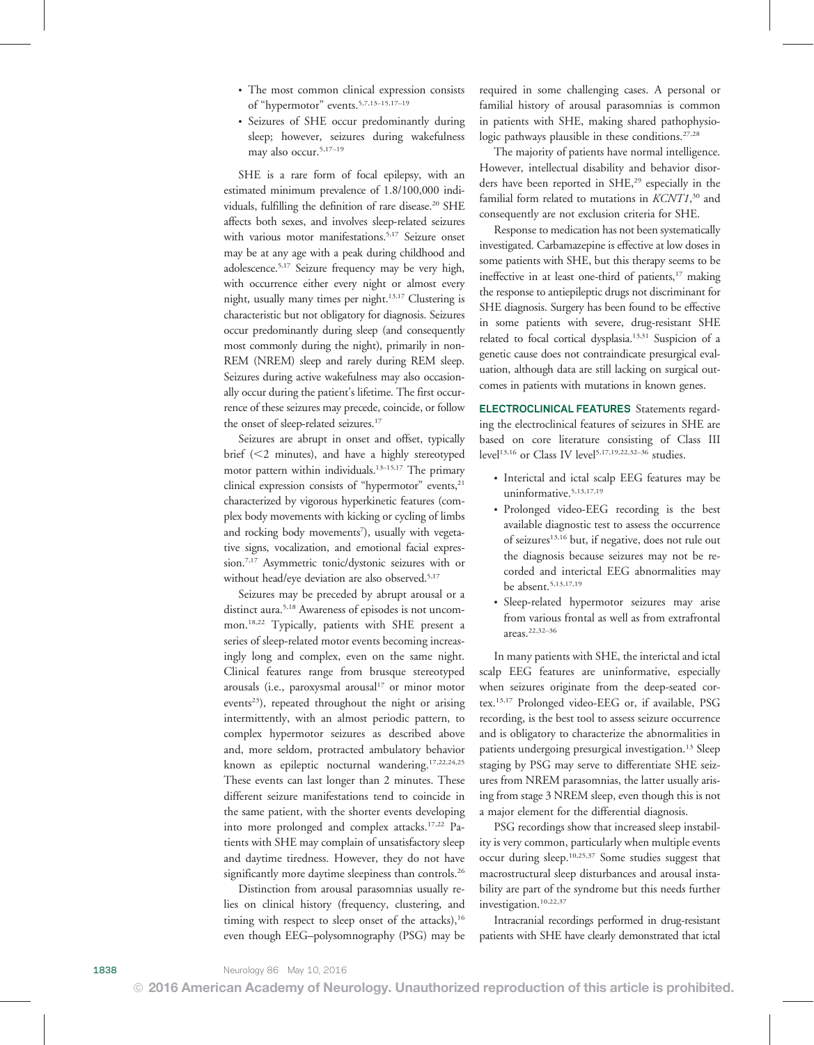- The most common clinical expression consists of "hypermotor" events.5,7,13–15,17–<sup>19</sup>
- Seizures of SHE occur predominantly during sleep; however, seizures during wakefulness may also occur.5,17–<sup>19</sup>

SHE is a rare form of focal epilepsy, with an estimated minimum prevalence of 1.8/100,000 individuals, fulfilling the definition of rare disease.<sup>20</sup> SHE affects both sexes, and involves sleep-related seizures with various motor manifestations.<sup>5,17</sup> Seizure onset may be at any age with a peak during childhood and adolescence.5,17 Seizure frequency may be very high, with occurrence either every night or almost every night, usually many times per night.<sup>13,17</sup> Clustering is characteristic but not obligatory for diagnosis. Seizures occur predominantly during sleep (and consequently most commonly during the night), primarily in non-REM (NREM) sleep and rarely during REM sleep. Seizures during active wakefulness may also occasionally occur during the patient's lifetime. The first occurrence of these seizures may precede, coincide, or follow the onset of sleep-related seizures.<sup>17</sup>

Seizures are abrupt in onset and offset, typically brief  $(<$ 2 minutes), and have a highly stereotyped motor pattern within individuals.<sup>13-15,17</sup> The primary clinical expression consists of "hypermotor" events,<sup>21</sup> characterized by vigorous hyperkinetic features (complex body movements with kicking or cycling of limbs and rocking body movements<sup>7</sup>), usually with vegetative signs, vocalization, and emotional facial expression.7,17 Asymmetric tonic/dystonic seizures with or without head/eye deviation are also observed.<sup>5,17</sup>

Seizures may be preceded by abrupt arousal or a distinct aura.<sup>5,18</sup> Awareness of episodes is not uncommon.18,22 Typically, patients with SHE present a series of sleep-related motor events becoming increasingly long and complex, even on the same night. Clinical features range from brusque stereotyped arousals (i.e., paroxysmal arousal $17$  or minor motor events<sup>23</sup>), repeated throughout the night or arising intermittently, with an almost periodic pattern, to complex hypermotor seizures as described above and, more seldom, protracted ambulatory behavior known as epileptic nocturnal wandering.<sup>17,22,24,25</sup> These events can last longer than 2 minutes. These different seizure manifestations tend to coincide in the same patient, with the shorter events developing into more prolonged and complex attacks.17,22 Patients with SHE may complain of unsatisfactory sleep and daytime tiredness. However, they do not have significantly more daytime sleepiness than controls.<sup>26</sup>

Distinction from arousal parasomnias usually relies on clinical history (frequency, clustering, and timing with respect to sleep onset of the attacks), $16$ even though EEG–polysomnography (PSG) may be required in some challenging cases. A personal or familial history of arousal parasomnias is common in patients with SHE, making shared pathophysiologic pathways plausible in these conditions.<sup>27,28</sup>

The majority of patients have normal intelligence. However, intellectual disability and behavior disorders have been reported in SHE,<sup>29</sup> especially in the familial form related to mutations in KCNT1,<sup>30</sup> and consequently are not exclusion criteria for SHE.

Response to medication has not been systematically investigated. Carbamazepine is effective at low doses in some patients with SHE, but this therapy seems to be ineffective in at least one-third of patients, $17$  making the response to antiepileptic drugs not discriminant for SHE diagnosis. Surgery has been found to be effective in some patients with severe, drug-resistant SHE related to focal cortical dysplasia.<sup>13,31</sup> Suspicion of a genetic cause does not contraindicate presurgical evaluation, although data are still lacking on surgical outcomes in patients with mutations in known genes.

ELECTROCLINICAL FEATURES Statements regarding the electroclinical features of seizures in SHE are based on core literature consisting of Class III level<sup>13,16</sup> or Class IV level<sup>5,17,19,22,32-36</sup> studies.

- Interictal and ictal scalp EEG features may be uninformative.<sup>5,13,17,19</sup>
- Prolonged video-EEG recording is the best available diagnostic test to assess the occurrence of seizures<sup>13,16</sup> but, if negative, does not rule out the diagnosis because seizures may not be recorded and interictal EEG abnormalities may be absent.5,13,17,19
- Sleep-related hypermotor seizures may arise from various frontal as well as from extrafrontal areas.22,32–<sup>36</sup>

In many patients with SHE, the interictal and ictal scalp EEG features are uninformative, especially when seizures originate from the deep-seated cortex.13,17 Prolonged video-EEG or, if available, PSG recording, is the best tool to assess seizure occurrence and is obligatory to characterize the abnormalities in patients undergoing presurgical investigation.<sup>13</sup> Sleep staging by PSG may serve to differentiate SHE seizures from NREM parasomnias, the latter usually arising from stage 3 NREM sleep, even though this is not a major element for the differential diagnosis.

PSG recordings show that increased sleep instability is very common, particularly when multiple events occur during sleep.10,25,37 Some studies suggest that macrostructural sleep disturbances and arousal instability are part of the syndrome but this needs further investigation.10,22,37

Intracranial recordings performed in drug-resistant patients with SHE have clearly demonstrated that ictal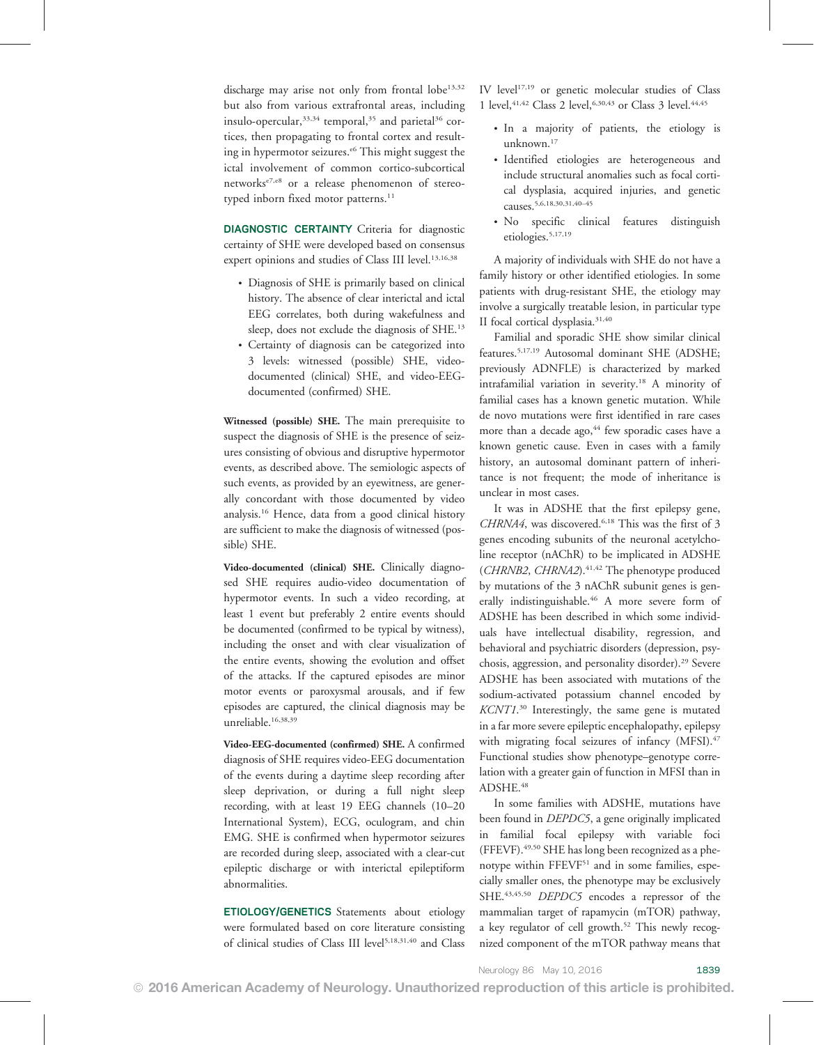discharge may arise not only from frontal lobe<sup>13,32</sup> but also from various extrafrontal areas, including insulo-opercular,<sup>33,34</sup> temporal,<sup>35</sup> and parietal<sup>36</sup> cortices, then propagating to frontal cortex and resulting in hypermotor seizures.<sup>e6</sup> This might suggest the ictal involvement of common cortico-subcortical networks<sup>e7,e8</sup> or a release phenomenon of stereotyped inborn fixed motor patterns.<sup>11</sup>

DIAGNOSTIC CERTAINTY Criteria for diagnostic certainty of SHE were developed based on consensus expert opinions and studies of Class III level.<sup>13,16,38</sup>

- Diagnosis of SHE is primarily based on clinical history. The absence of clear interictal and ictal EEG correlates, both during wakefulness and sleep, does not exclude the diagnosis of SHE.<sup>13</sup>
- Certainty of diagnosis can be categorized into 3 levels: witnessed (possible) SHE, videodocumented (clinical) SHE, and video-EEGdocumented (confirmed) SHE.

Witnessed (possible) SHE. The main prerequisite to suspect the diagnosis of SHE is the presence of seizures consisting of obvious and disruptive hypermotor events, as described above. The semiologic aspects of such events, as provided by an eyewitness, are generally concordant with those documented by video analysis.16 Hence, data from a good clinical history are sufficient to make the diagnosis of witnessed (possible) SHE.

Video-documented (clinical) SHE. Clinically diagnosed SHE requires audio-video documentation of hypermotor events. In such a video recording, at least 1 event but preferably 2 entire events should be documented (confirmed to be typical by witness), including the onset and with clear visualization of the entire events, showing the evolution and offset of the attacks. If the captured episodes are minor motor events or paroxysmal arousals, and if few episodes are captured, the clinical diagnosis may be unreliable.16,38,39

Video-EEG-documented (confirmed) SHE. A confirmed diagnosis of SHE requires video-EEG documentation of the events during a daytime sleep recording after sleep deprivation, or during a full night sleep recording, with at least 19 EEG channels (10–20 International System), ECG, oculogram, and chin EMG. SHE is confirmed when hypermotor seizures are recorded during sleep, associated with a clear-cut epileptic discharge or with interictal epileptiform abnormalities.

ETIOLOGY/GENETICS Statements about etiology were formulated based on core literature consisting of clinical studies of Class III level<sup>5,18,31,40</sup> and Class IV level<sup>17,19</sup> or genetic molecular studies of Class 1 level,  $41,42$  Class 2 level,  $6,30,43$  or Class 3 level.  $44,45$ 

- In a majority of patients, the etiology is unknown.17
- Identified etiologies are heterogeneous and include structural anomalies such as focal cortical dysplasia, acquired injuries, and genetic causes.5,6,18,30,31,40–<sup>45</sup>
- No specific clinical features distinguish etiologies.<sup>5,17,19</sup>

A majority of individuals with SHE do not have a family history or other identified etiologies. In some patients with drug-resistant SHE, the etiology may involve a surgically treatable lesion, in particular type II focal cortical dysplasia.31,40

Familial and sporadic SHE show similar clinical features.5,17,19 Autosomal dominant SHE (ADSHE; previously ADNFLE) is characterized by marked intrafamilial variation in severity.18 A minority of familial cases has a known genetic mutation. While de novo mutations were first identified in rare cases more than a decade ago, $44$  few sporadic cases have a known genetic cause. Even in cases with a family history, an autosomal dominant pattern of inheritance is not frequent; the mode of inheritance is unclear in most cases.

It was in ADSHE that the first epilepsy gene, CHRNA4, was discovered.<sup>6,18</sup> This was the first of 3 genes encoding subunits of the neuronal acetylcholine receptor (nAChR) to be implicated in ADSHE (CHRNB2, CHRNA2).<sup>41,42</sup> The phenotype produced by mutations of the 3 nAChR subunit genes is generally indistinguishable.<sup>46</sup> A more severe form of ADSHE has been described in which some individuals have intellectual disability, regression, and behavioral and psychiatric disorders (depression, psychosis, aggression, and personality disorder).<sup>29</sup> Severe ADSHE has been associated with mutations of the sodium-activated potassium channel encoded by KCNT1. <sup>30</sup> Interestingly, the same gene is mutated in a far more severe epileptic encephalopathy, epilepsy with migrating focal seizures of infancy (MFSI).<sup>47</sup> Functional studies show phenotype–genotype correlation with a greater gain of function in MFSI than in ADSHE.<sup>48</sup>

In some families with ADSHE, mutations have been found in DEPDC5, a gene originally implicated in familial focal epilepsy with variable foci (FFEVF).49,50 SHE has long been recognized as a phenotype within FFEVF<sup>51</sup> and in some families, especially smaller ones, the phenotype may be exclusively SHE.<sup>43,45,50</sup> DEPDC5 encodes a repressor of the mammalian target of rapamycin (mTOR) pathway, a key regulator of cell growth.<sup>52</sup> This newly recognized component of the mTOR pathway means that

© 2016 American Academy of Neurology. Unauthorized reproduction of this article is prohibited.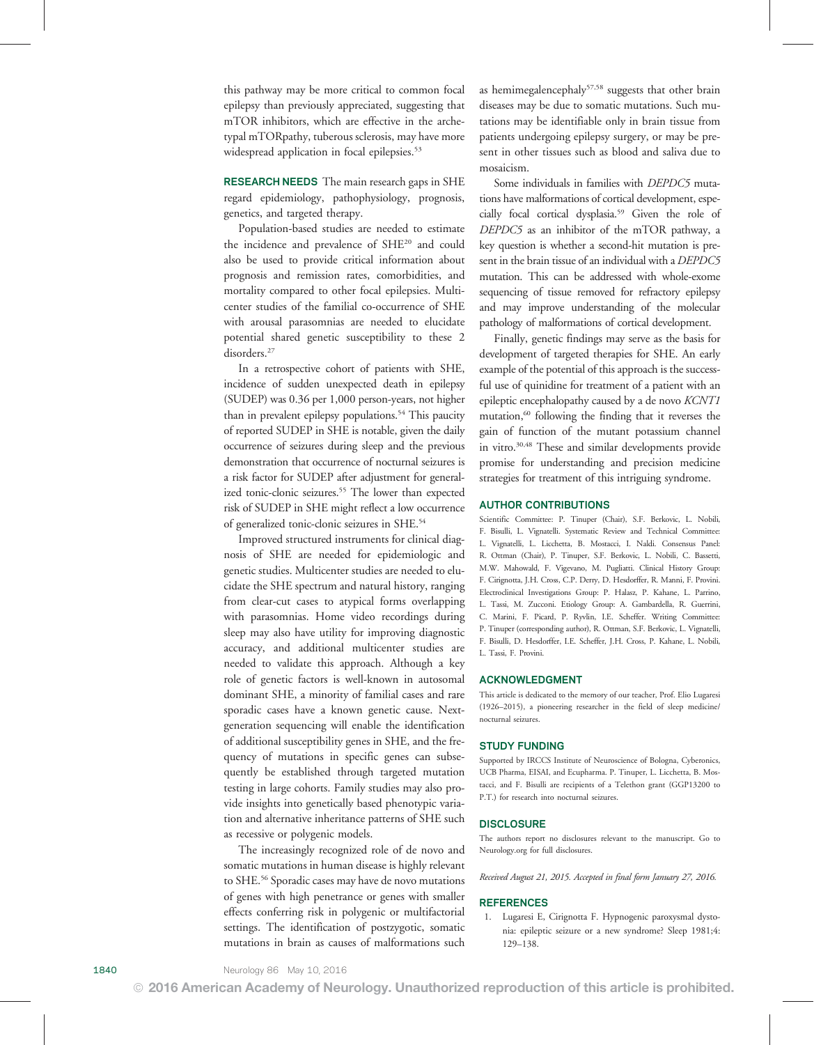this pathway may be more critical to common focal epilepsy than previously appreciated, suggesting that mTOR inhibitors, which are effective in the archetypal mTORpathy, tuberous sclerosis, may have more widespread application in focal epilepsies.<sup>53</sup>

RESEARCH NEEDS The main research gaps in SHE regard epidemiology, pathophysiology, prognosis, genetics, and targeted therapy.

Population-based studies are needed to estimate the incidence and prevalence of SHE<sup>20</sup> and could also be used to provide critical information about prognosis and remission rates, comorbidities, and mortality compared to other focal epilepsies. Multicenter studies of the familial co-occurrence of SHE with arousal parasomnias are needed to elucidate potential shared genetic susceptibility to these 2 disorders.<sup>27</sup>

In a retrospective cohort of patients with SHE, incidence of sudden unexpected death in epilepsy (SUDEP) was 0.36 per 1,000 person-years, not higher than in prevalent epilepsy populations.<sup>54</sup> This paucity of reported SUDEP in SHE is notable, given the daily occurrence of seizures during sleep and the previous demonstration that occurrence of nocturnal seizures is a risk factor for SUDEP after adjustment for generalized tonic-clonic seizures.<sup>55</sup> The lower than expected risk of SUDEP in SHE might reflect a low occurrence of generalized tonic-clonic seizures in SHE.54

Improved structured instruments for clinical diagnosis of SHE are needed for epidemiologic and genetic studies. Multicenter studies are needed to elucidate the SHE spectrum and natural history, ranging from clear-cut cases to atypical forms overlapping with parasomnias. Home video recordings during sleep may also have utility for improving diagnostic accuracy, and additional multicenter studies are needed to validate this approach. Although a key role of genetic factors is well-known in autosomal dominant SHE, a minority of familial cases and rare sporadic cases have a known genetic cause. Nextgeneration sequencing will enable the identification of additional susceptibility genes in SHE, and the frequency of mutations in specific genes can subsequently be established through targeted mutation testing in large cohorts. Family studies may also provide insights into genetically based phenotypic variation and alternative inheritance patterns of SHE such as recessive or polygenic models.

The increasingly recognized role of de novo and somatic mutations in human disease is highly relevant to SHE.<sup>56</sup> Sporadic cases may have de novo mutations of genes with high penetrance or genes with smaller effects conferring risk in polygenic or multifactorial settings. The identification of postzygotic, somatic mutations in brain as causes of malformations such as hemimegalencephaly<sup>57,58</sup> suggests that other brain diseases may be due to somatic mutations. Such mutations may be identifiable only in brain tissue from patients undergoing epilepsy surgery, or may be present in other tissues such as blood and saliva due to mosaicism.

Some individuals in families with DEPDC5 mutations have malformations of cortical development, especially focal cortical dysplasia.59 Given the role of DEPDC5 as an inhibitor of the mTOR pathway, a key question is whether a second-hit mutation is present in the brain tissue of an individual with a DEPDC5 mutation. This can be addressed with whole-exome sequencing of tissue removed for refractory epilepsy and may improve understanding of the molecular pathology of malformations of cortical development.

Finally, genetic findings may serve as the basis for development of targeted therapies for SHE. An early example of the potential of this approach is the successful use of quinidine for treatment of a patient with an epileptic encephalopathy caused by a de novo KCNT1 mutation,<sup>60</sup> following the finding that it reverses the gain of function of the mutant potassium channel in vitro.<sup>30,48</sup> These and similar developments provide promise for understanding and precision medicine strategies for treatment of this intriguing syndrome.

#### AUTHOR CONTRIBUTIONS

Scientific Committee: P. Tinuper (Chair), S.F. Berkovic, L. Nobili, F. Bisulli, L. Vignatelli. Systematic Review and Technical Committee: L. Vignatelli, L. Licchetta, B. Mostacci, I. Naldi. Consensus Panel: R. Ottman (Chair), P. Tinuper, S.F. Berkovic, L. Nobili, C. Bassetti, M.W. Mahowald, F. Vigevano, M. Pugliatti. Clinical History Group: F. Cirignotta, J.H. Cross, C.P. Derry, D. Hesdorffer, R. Manni, F. Provini. Electroclinical Investigations Group: P. Halasz, P. Kahane, L. Parrino, L. Tassi, M. Zucconi. Etiology Group: A. Gambardella, R. Guerrini, C. Marini, F. Picard, P. Ryvlin, I.E. Scheffer. Writing Committee: P. Tinuper (corresponding author), R. Ottman, S.F. Berkovic, L. Vignatelli, F. Bisulli, D. Hesdorffer, I.E. Scheffer, J.H. Cross, P. Kahane, L. Nobili, L. Tassi, F. Provini.

#### ACKNOWLEDGMENT

This article is dedicated to the memory of our teacher, Prof. Elio Lugaresi (1926–2015), a pioneering researcher in the field of sleep medicine/ nocturnal seizures.

#### STUDY FUNDING

Supported by IRCCS Institute of Neuroscience of Bologna, Cyberonics, UCB Pharma, EISAI, and Ecupharma. P. Tinuper, L. Licchetta, B. Mostacci, and F. Bisulli are recipients of a Telethon grant (GGP13200 to P.T.) for research into nocturnal seizures.

#### **DISCLOSURE**

The authors report no disclosures relevant to the manuscript. Go to [Neurology.org](http://neurology.org/lookup/doi/10.1212/WNL.0000000000002666) for full disclosures.

Received August 21, 2015. Accepted in final form January 27, 2016.

#### **REFERENCES**

1. Lugaresi E, Cirignotta F. Hypnogenic paroxysmal dystonia: epileptic seizure or a new syndrome? Sleep 1981;4: 129–138.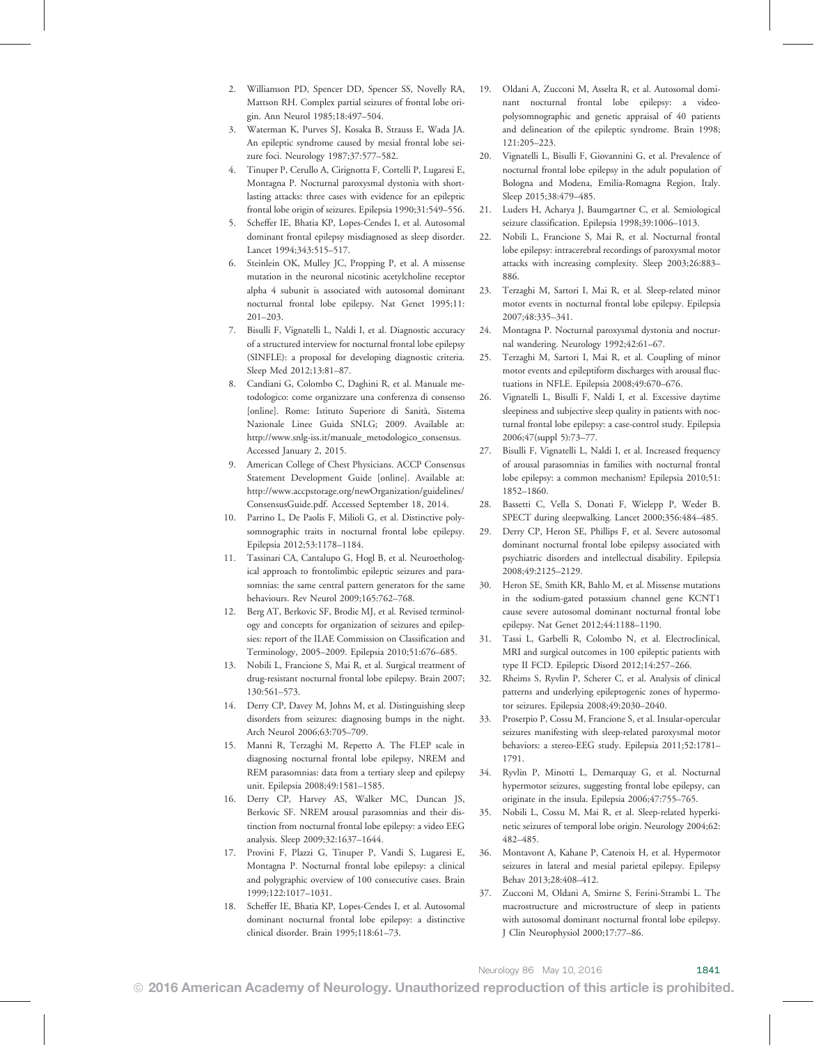- 2. Williamson PD, Spencer DD, Spencer SS, Novelly RA, Mattson RH. Complex partial seizures of frontal lobe origin. Ann Neurol 1985;18:497–504.
- 3. Waterman K, Purves SJ, Kosaka B, Strauss E, Wada JA. An epileptic syndrome caused by mesial frontal lobe seizure foci. Neurology 1987;37:577–582.
- 4. Tinuper P, Cerullo A, Cirignotta F, Cortelli P, Lugaresi E, Montagna P. Nocturnal paroxysmal dystonia with shortlasting attacks: three cases with evidence for an epileptic frontal lobe origin of seizures. Epilepsia 1990;31:549–556.
- 5. Scheffer IE, Bhatia KP, Lopes-Cendes I, et al. Autosomal dominant frontal epilepsy misdiagnosed as sleep disorder. Lancet 1994;343:515–517.
- 6. Steinlein OK, Mulley JC, Propping P, et al. A missense mutation in the neuronal nicotinic acetylcholine receptor alpha 4 subunit is associated with autosomal dominant nocturnal frontal lobe epilepsy. Nat Genet 1995;11: 201–203.
- 7. Bisulli F, Vignatelli L, Naldi I, et al. Diagnostic accuracy of a structured interview for nocturnal frontal lobe epilepsy (SINFLE): a proposal for developing diagnostic criteria. Sleep Med 2012;13:81–87.
- 8. Candiani G, Colombo C, Daghini R, et al. Manuale metodologico: come organizzare una conferenza di consenso [online]. Rome: Istituto Superiore di Sanità, Sistema Nazionale Linee Guida SNLG; 2009. Available at: [http://www.snlg-iss.it/manuale\\_metodologico\\_consensus.](http://www.snlg-iss.it/manuale_metodologico_consensus) Accessed January 2, 2015.
- 9. American College of Chest Physicians. ACCP Consensus Statement Development Guide [online]. Available at: [http://www.accpstorage.org/newOrganization/guidelines/](http://www.accpstorage.org/newOrganization/guidelines/ConsensusGuide.pdf) [ConsensusGuide.pdf.](http://www.accpstorage.org/newOrganization/guidelines/ConsensusGuide.pdf) Accessed September 18, 2014.
- 10. Parrino L, De Paolis F, Milioli G, et al. Distinctive polysomnographic traits in nocturnal frontal lobe epilepsy. Epilepsia 2012;53:1178–1184.
- 11. Tassinari CA, Cantalupo G, Hogl B, et al. Neuroethological approach to frontolimbic epileptic seizures and parasomnias: the same central pattern generators for the same behaviours. Rev Neurol 2009;165:762–768.
- 12. Berg AT, Berkovic SF, Brodie MJ, et al. Revised terminology and concepts for organization of seizures and epilepsies: report of the ILAE Commission on Classification and Terminology, 2005–2009. Epilepsia 2010;51:676–685.
- 13. Nobili L, Francione S, Mai R, et al. Surgical treatment of drug-resistant nocturnal frontal lobe epilepsy. Brain 2007; 130:561–573.
- 14. Derry CP, Davey M, Johns M, et al. Distinguishing sleep disorders from seizures: diagnosing bumps in the night. Arch Neurol 2006;63:705–709.
- 15. Manni R, Terzaghi M, Repetto A. The FLEP scale in diagnosing nocturnal frontal lobe epilepsy, NREM and REM parasomnias: data from a tertiary sleep and epilepsy unit. Epilepsia 2008;49:1581–1585.
- 16. Derry CP, Harvey AS, Walker MC, Duncan JS, Berkovic SF. NREM arousal parasomnias and their distinction from nocturnal frontal lobe epilepsy: a video EEG analysis. Sleep 2009;32:1637–1644.
- 17. Provini F, Plazzi G, Tinuper P, Vandi S, Lugaresi E, Montagna P. Nocturnal frontal lobe epilepsy: a clinical and polygraphic overview of 100 consecutive cases. Brain 1999;122:1017–1031.
- 18. Scheffer IE, Bhatia KP, Lopes-Cendes I, et al. Autosomal dominant nocturnal frontal lobe epilepsy: a distinctive clinical disorder. Brain 1995;118:61–73.
- 19. Oldani A, Zucconi M, Asselta R, et al. Autosomal dominant nocturnal frontal lobe epilepsy: a videopolysomnographic and genetic appraisal of 40 patients and delineation of the epileptic syndrome. Brain 1998; 121:205–223.
- 20. Vignatelli L, Bisulli F, Giovannini G, et al. Prevalence of nocturnal frontal lobe epilepsy in the adult population of Bologna and Modena, Emilia-Romagna Region, Italy. Sleep 2015;38:479–485.
- 21. Luders H, Acharya J, Baumgartner C, et al. Semiological seizure classification. Epilepsia 1998;39:1006–1013.
- 22. Nobili L, Francione S, Mai R, et al. Nocturnal frontal lobe epilepsy: intracerebral recordings of paroxysmal motor attacks with increasing complexity. Sleep 2003;26:883– 886.
- 23. Terzaghi M, Sartori I, Mai R, et al. Sleep-related minor motor events in nocturnal frontal lobe epilepsy. Epilepsia 2007;48:335–341.
- 24. Montagna P. Nocturnal paroxysmal dystonia and nocturnal wandering. Neurology 1992;42:61–67.
- 25. Terzaghi M, Sartori I, Mai R, et al. Coupling of minor motor events and epileptiform discharges with arousal fluctuations in NFLE. Epilepsia 2008;49:670–676.
- 26. Vignatelli L, Bisulli F, Naldi I, et al. Excessive daytime sleepiness and subjective sleep quality in patients with nocturnal frontal lobe epilepsy: a case-control study. Epilepsia 2006;47(suppl 5):73–77.
- 27. Bisulli F, Vignatelli L, Naldi I, et al. Increased frequency of arousal parasomnias in families with nocturnal frontal lobe epilepsy: a common mechanism? Epilepsia 2010;51: 1852–1860.
- 28. Bassetti C, Vella S, Donati F, Wielepp P, Weder B. SPECT during sleepwalking. Lancet 2000;356:484–485.
- 29. Derry CP, Heron SE, Phillips F, et al. Severe autosomal dominant nocturnal frontal lobe epilepsy associated with psychiatric disorders and intellectual disability. Epilepsia 2008;49:2125–2129.
- 30. Heron SE, Smith KR, Bahlo M, et al. Missense mutations in the sodium-gated potassium channel gene KCNT1 cause severe autosomal dominant nocturnal frontal lobe epilepsy. Nat Genet 2012;44:1188–1190.
- 31. Tassi L, Garbelli R, Colombo N, et al. Electroclinical, MRI and surgical outcomes in 100 epileptic patients with type II FCD. Epileptic Disord 2012;14:257–266.
- 32. Rheims S, Ryvlin P, Scherer C, et al. Analysis of clinical patterns and underlying epileptogenic zones of hypermotor seizures. Epilepsia 2008;49:2030–2040.
- 33. Proserpio P, Cossu M, Francione S, et al. Insular-opercular seizures manifesting with sleep-related paroxysmal motor behaviors: a stereo-EEG study. Epilepsia 2011;52:1781– 1791.
- 34. Ryvlin P, Minotti L, Demarquay G, et al. Nocturnal hypermotor seizures, suggesting frontal lobe epilepsy, can originate in the insula. Epilepsia 2006;47:755–765.
- 35. Nobili L, Cossu M, Mai R, et al. Sleep-related hyperkinetic seizures of temporal lobe origin. Neurology 2004;62: 482–485.
- 36. Montavont A, Kahane P, Catenoix H, et al. Hypermotor seizures in lateral and mesial parietal epilepsy. Epilepsy Behav 2013;28:408–412.
- 37. Zucconi M, Oldani A, Smirne S, Ferini-Strambi L. The macrostructure and microstructure of sleep in patients with autosomal dominant nocturnal frontal lobe epilepsy. J Clin Neurophysiol 2000;17:77–86.

© 2016 American Academy of Neurology. Unauthorized reproduction of this article is prohibited.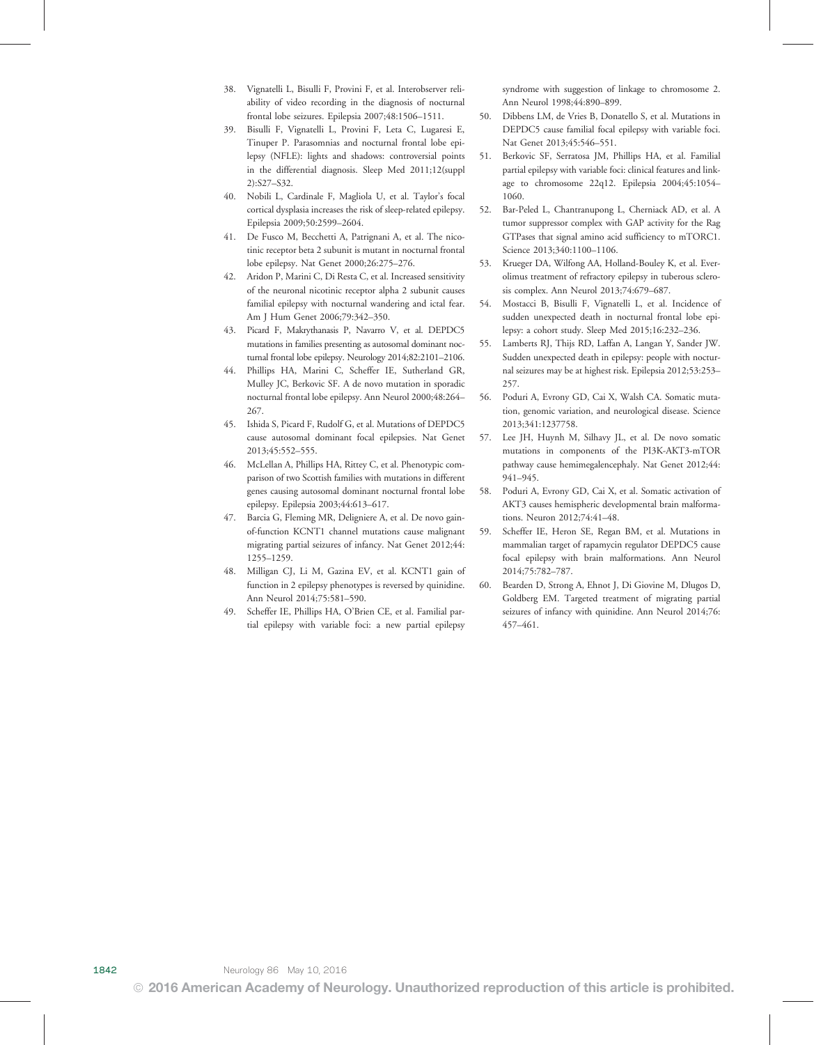- 38. Vignatelli L, Bisulli F, Provini F, et al. Interobserver reliability of video recording in the diagnosis of nocturnal frontal lobe seizures. Epilepsia 2007;48:1506–1511.
- 39. Bisulli F, Vignatelli L, Provini F, Leta C, Lugaresi E, Tinuper P. Parasomnias and nocturnal frontal lobe epilepsy (NFLE): lights and shadows: controversial points in the differential diagnosis. Sleep Med 2011;12(suppl 2):S27–S32.
- 40. Nobili L, Cardinale F, Magliola U, et al. Taylor's focal cortical dysplasia increases the risk of sleep-related epilepsy. Epilepsia 2009;50:2599–2604.
- 41. De Fusco M, Becchetti A, Patrignani A, et al. The nicotinic receptor beta 2 subunit is mutant in nocturnal frontal lobe epilepsy. Nat Genet 2000;26:275–276.
- 42. Aridon P, Marini C, Di Resta C, et al. Increased sensitivity of the neuronal nicotinic receptor alpha 2 subunit causes familial epilepsy with nocturnal wandering and ictal fear. Am J Hum Genet 2006;79:342–350.
- 43. Picard F, Makrythanasis P, Navarro V, et al. DEPDC5 mutations in families presenting as autosomal dominant nocturnal frontal lobe epilepsy. Neurology 2014;82:2101–2106.
- 44. Phillips HA, Marini C, Scheffer IE, Sutherland GR, Mulley JC, Berkovic SF. A de novo mutation in sporadic nocturnal frontal lobe epilepsy. Ann Neurol 2000;48:264– 267.
- 45. Ishida S, Picard F, Rudolf G, et al. Mutations of DEPDC5 cause autosomal dominant focal epilepsies. Nat Genet 2013;45:552–555.
- 46. McLellan A, Phillips HA, Rittey C, et al. Phenotypic comparison of two Scottish families with mutations in different genes causing autosomal dominant nocturnal frontal lobe epilepsy. Epilepsia 2003;44:613–617.
- 47. Barcia G, Fleming MR, Deligniere A, et al. De novo gainof-function KCNT1 channel mutations cause malignant migrating partial seizures of infancy. Nat Genet 2012;44: 1255–1259.
- 48. Milligan CJ, Li M, Gazina EV, et al. KCNT1 gain of function in 2 epilepsy phenotypes is reversed by quinidine. Ann Neurol 2014;75:581–590.
- 49. Scheffer IE, Phillips HA, O'Brien CE, et al. Familial partial epilepsy with variable foci: a new partial epilepsy

syndrome with suggestion of linkage to chromosome 2. Ann Neurol 1998;44:890–899.

- 50. Dibbens LM, de Vries B, Donatello S, et al. Mutations in DEPDC5 cause familial focal epilepsy with variable foci. Nat Genet 2013;45:546–551.
- 51. Berkovic SF, Serratosa JM, Phillips HA, et al. Familial partial epilepsy with variable foci: clinical features and linkage to chromosome 22q12. Epilepsia 2004;45:1054– 1060.
- 52. Bar-Peled L, Chantranupong L, Cherniack AD, et al. A tumor suppressor complex with GAP activity for the Rag GTPases that signal amino acid sufficiency to mTORC1. Science 2013;340:1100–1106.
- 53. Krueger DA, Wilfong AA, Holland-Bouley K, et al. Everolimus treatment of refractory epilepsy in tuberous sclerosis complex. Ann Neurol 2013;74:679–687.
- 54. Mostacci B, Bisulli F, Vignatelli L, et al. Incidence of sudden unexpected death in nocturnal frontal lobe epilepsy: a cohort study. Sleep Med 2015;16:232–236.
- 55. Lamberts RJ, Thijs RD, Laffan A, Langan Y, Sander JW. Sudden unexpected death in epilepsy: people with nocturnal seizures may be at highest risk. Epilepsia 2012;53:253– 257.
- 56. Poduri A, Evrony GD, Cai X, Walsh CA. Somatic mutation, genomic variation, and neurological disease. Science 2013;341:1237758.
- 57. Lee JH, Huynh M, Silhavy JL, et al. De novo somatic mutations in components of the PI3K-AKT3-mTOR pathway cause hemimegalencephaly. Nat Genet 2012;44: 941–945.
- 58. Poduri A, Evrony GD, Cai X, et al. Somatic activation of AKT3 causes hemispheric developmental brain malformations. Neuron 2012;74:41–48.
- 59. Scheffer IE, Heron SE, Regan BM, et al. Mutations in mammalian target of rapamycin regulator DEPDC5 cause focal epilepsy with brain malformations. Ann Neurol 2014;75:782–787.
- 60. Bearden D, Strong A, Ehnot J, Di Giovine M, Dlugos D, Goldberg EM. Targeted treatment of migrating partial seizures of infancy with quinidine. Ann Neurol 2014;76: 457–461.